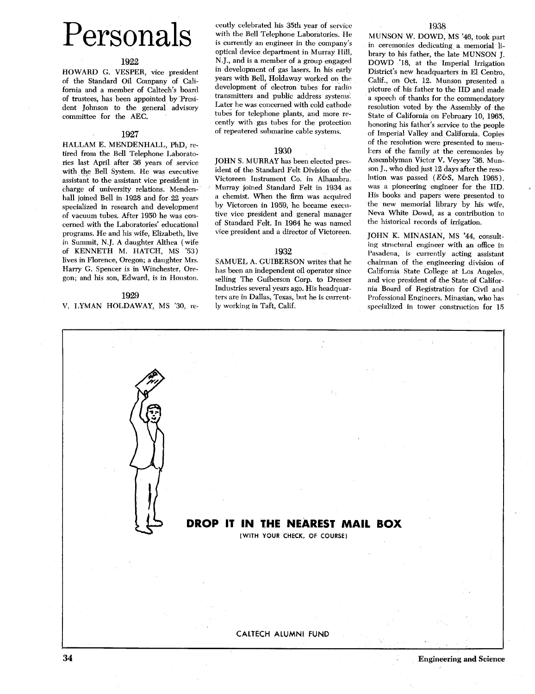# Personals

# **1922**

HOWARD G. VESPER, vice president of the Standard Oil Company of California and a member of Caltech's board of trustees, has been appointed by President Johnson to the general advisory committee for the AEC.

# **1927**

HALLAM E. MENDENHALL, PhD, retired from the Bell Telephone Laboratories last April after **36** years of service with the Bell System. He was executive assistant to the assistant vice president in charge of university relations. Mendenhall joined Bell in **1928** and for **22** years specialized in research and development of vacuum tubes. After **1950** he was concerned with the Laboratories' educational programs. He and his wife, Elizabeth, live in Summit, N.J. A daughter Althea (wife of KENNETH M. HATCH, MS **'53)**  lives in Florence, Oregon; a daughter Mrs. Harry G. Spencer is in Winchester, Oregon; and his son, Edward, is in Houston.

## **1929**

V. LYMAN HOLDAWAY, MS **'30,** re-

cently celebrated his **35th** year of service with the Bell Telephone Laboratories. He is currently an engineer in the company's optical device department in Murray Hill, N.J., and is a member of a group engaged in development of gas lasers. In his early years with Bell, Holdaway worked on the development of electron tubes for radio transmitters and public address systems. Later he was concerned with cold cathode tubes for telephone plants, and more recently with gas tubes for the protection of repeatered submarine cable systems.

## **1930**

JOHN S. MURRAY has been elected pres-;dent of the Standard Felt Division of the Victoreen Instrument Co. in Alhambra. Murray joined Standard Felt in **1934** as a chemist. When the **firm** was acquired by Victoreen in **1959,** he became executive vice president and general manager of Standard Felt. In **1964** he was named vice president and a director of Victoreen.

### **1932**

SAMUEL A. GUIBERSON writes that he has been an independent oil operator since selling The Guiberson Corp. to Dresser Industries several years ago. His headquarters are in Dallas, Texas, but he is currently working in Taft, Calif.

**1938** 

MUNSON W. DOWD, MS **'46,** took part in ceremonies dedicating a memorial library to his father, the late MUNSON J. DOWD '18, at the Imperial Irrigation District's new headquarters in El Centro, Calif., on Oct. **12.** Munson presented a picture of his father to the IID and made a speech of thanks for the commendatory resolution voted by the Assembly of the State of California on February 10, **1965,**  honoring his father's service to the people of Imperial Valley and California. Copies of the resolution were presented to memhers of the family at the ceremonies by Assemblyman Victor V. Veysey **'36.** Munson **J.,** who died just **12** days after the resolution was passed *(EbS,* March **1965).**  was a pioneering engineer for the IID. His books and papers were presented to the new memorial library by his wife, Neva White Dowd, as a contribution to the historical records of irrigation.

JOHN K. MINASIAN, MS **'44,** consulting structural engineer with an office in Pasadena, is currently acting assistant chairman of the engineering division of California State College at Los Angeles, and vice president of the State of California Board of Registration for Civil and Professional Engineers. Minasian, who has specialized in tower construction for 15